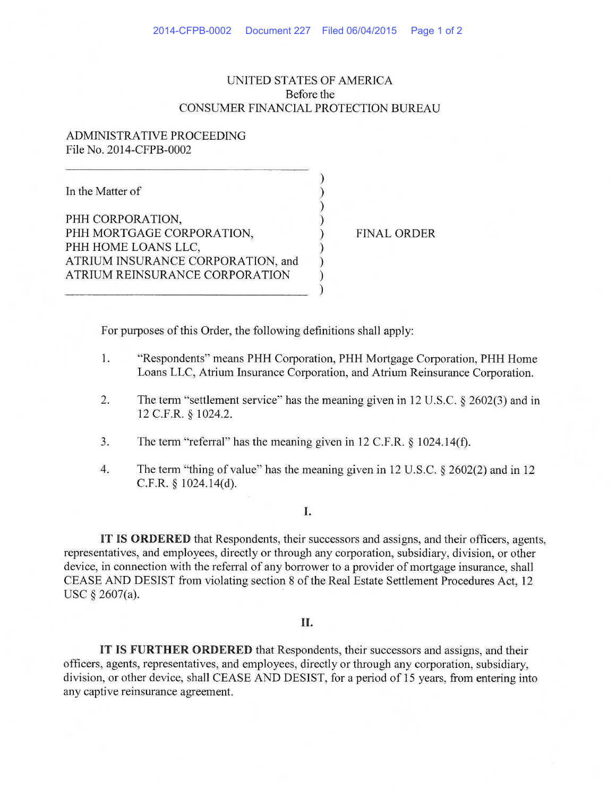# UNITED STATES OF AMERICA Before the CONSUMER FINANCIAL PROTECTION BUREAU

) ) ) ) ) ) ) ) )

# ADMINISTRA *TNE* PROCEEDING File No. 2014-CFPB-0002

In the Matter of

PHH CORPORATION, PHH MORTGAGE CORPORATION, PHH HOME LOANS LLC, ATRIUM INSURANCE CORPORATION, and ATRIUM REINSURANCE CORPORATION

FINAL ORDER

For purposes of this Order, the following definitions shall apply:

- I. "Respondents" means PHH Corporation, PHH Mortgage Corporation, PHH Home Loans LLC, Atrium Insurance Corporation, and Atrium Reinsurance Corporation.
- 2. The term "settlement service" has the meaning given in 12 U.S.C. § 2602(3) and in 12 C.F.R. § 1024.2.
- 3. The term "referral" has the meaning given in 12 C.F.R. § 1024.14(f).
- 4. The term "thing of value" has the meaning given in 12 U.S.C. § 2602(2) and in 12 C.F.R. § 1024.14(d).

### I.

**IT IS ORDERED** that Respondents, their successors and assigns, and their officers, agents, representatives, and employees, directly or through any corporation, subsidiary, division, or other device, in connection with the referral of any borrower to a provider of mortgage insurance, shall CEASE AND DESIST from violating section 8 of the Real Estate Settlement Procedures Act, 12 USC§ 2607(a).

### II.

IT IS **FURTHER ORDERED** that Respondents, their successors and assigns, and their officers, agents, representatives, and employees, directly or through any corporation, subsidiary, division, or other device, shall CEASE AND DESIST, for a period of 15 years, from entering into any captive reinsurance agreement.